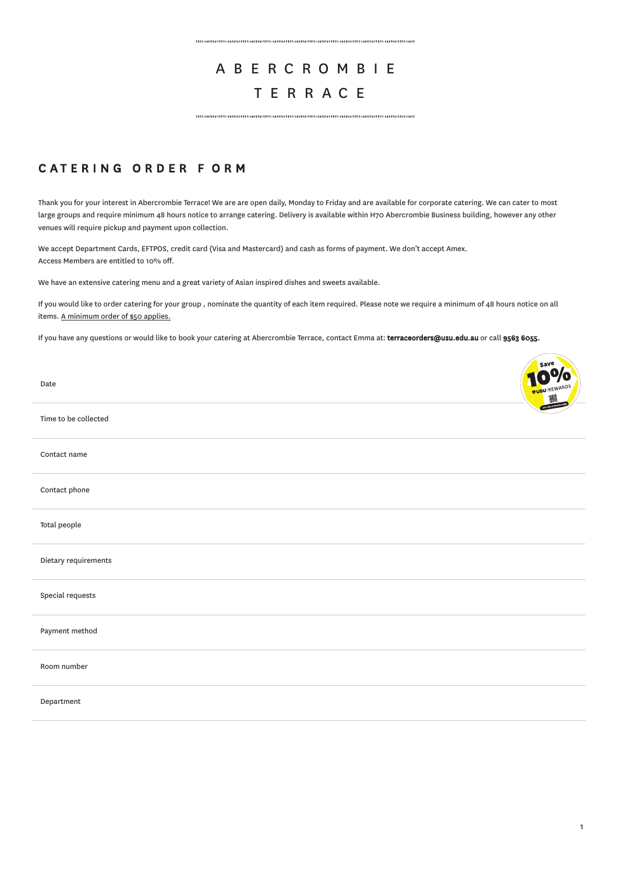## ABE R C R O M B I E TERR A C E

 $\label{prop:main} In nonnonlinear transformations are non-orthonomorphism and non-orthonomorphism.$ 

## CATERING ORDER FORM

Thank you for your interest in Abercrombie Terrace! We are are open daily, Monday to Friday and are available for corporate catering. We can cater to most large groups and require minimum 48 hours notice to arrange catering. Delivery is available within H70 Abercrombie Business building, however any other venues will require pickup and payment upon collection.

We accept Department Cards, EFTPOS, credit card (Visa and Mastercard) and cash as forms of payment. We don't accept Amex. Access Members are entitled to 10% off.

We have an extensive catering menu and a great variety of Asian inspired dishes and sweets available.

If you would like to order catering for your group, nominate the quantity of each item required. Please note we require a minimum of 48 hours notice on all items. A minimum order of \$50 applies.

If you have any questions or would like to book your catering at Abercrombie Terrace, contact Emma at: terraceorders@usu.edu.au or call 9563 6055.

| Date                 | nº/o<br><b>BUSUIREWARDS</b> |
|----------------------|-----------------------------|
| Time to be collected |                             |
| Contact name         |                             |
| Contact phone        |                             |
| Total people         |                             |
| Dietary requirements |                             |
| Special requests     |                             |
| Payment method       |                             |
| Room number          |                             |
| Department           |                             |
|                      |                             |

**Communication**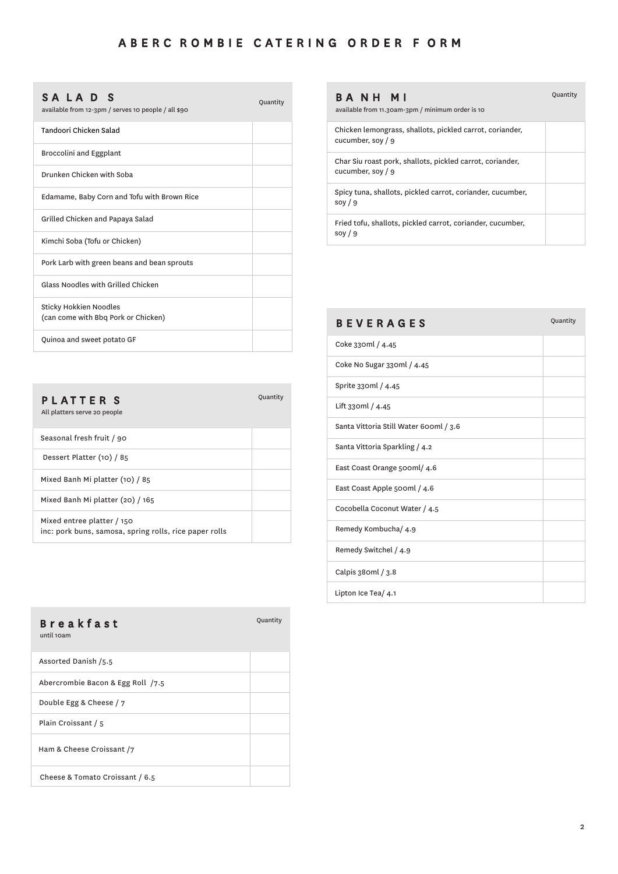$\overline{\phantom{a}}$ 

Quantity

## SALAD<sub>S</sub>

available from 12-3pm / serves 10 people / all \$90

| Tandoori Chicken Salad                                        |  |
|---------------------------------------------------------------|--|
| <b>Broccolini and Eggplant</b>                                |  |
| Drunken Chicken with Soba                                     |  |
| Edamame, Baby Corn and Tofu with Brown Rice                   |  |
| Grilled Chicken and Papaya Salad                              |  |
| Kimchi Soba (Tofu or Chicken)                                 |  |
| Pork Larb with green beans and bean sprouts                   |  |
| <b>Glass Noodles with Grilled Chicken</b>                     |  |
| Sticky Hokkien Noodles<br>(can come with Bbq Pork or Chicken) |  |
| Quinoa and sweet potato GF                                    |  |

| PLATTER S<br>All platters serve 20 people                                            | Quantity |
|--------------------------------------------------------------------------------------|----------|
| Seasonal fresh fruit / 90                                                            |          |
| Dessert Platter (10) / 85                                                            |          |
| Mixed Banh Mi platter (10) / 85                                                      |          |
| Mixed Banh Mi platter (20) / 165                                                     |          |
| Mixed entree platter / 150<br>inc: pork buns, samosa, spring rolls, rice paper rolls |          |

| <b>Breakfast</b><br>until 10am    | Quantity |
|-----------------------------------|----------|
| Assorted Danish /5.5              |          |
| Abercrombie Bacon & Egg Roll /7.5 |          |
| Double Egg & Cheese / 7           |          |
| Plain Croissant / 5               |          |
| Ham & Cheese Croissant /7         |          |
| Cheese & Tomato Croissant / 6.5   |          |

| BANH MI<br>available from 11.30am-3pm / minimum order is 10                    | Quantity |
|--------------------------------------------------------------------------------|----------|
| Chicken lemongrass, shallots, pickled carrot, coriander,<br>cucumber, soy $/9$ |          |
| Char Siu roast pork, shallots, pickled carrot, coriander,<br>cucumber, soy / 9 |          |
| Spicy tuna, shallots, pickled carrot, coriander, cucumber,<br>soy $/9$         |          |
| Fried tofu, shallots, pickled carrot, coriander, cucumber,<br>soy $/9$         |          |
|                                                                                |          |

| <b>BEVERAGES</b>                       | Quantity |
|----------------------------------------|----------|
| Coke 330ml / 4.45                      |          |
| Coke No Sugar 330ml / 4.45             |          |
| Sprite 330ml / 4.45                    |          |
| Lift 330ml / 4.45                      |          |
| Santa Vittoria Still Water 600ml / 3.6 |          |
| Santa Vittoria Sparkling / 4.2         |          |
| East Coast Orange 500ml/4.6            |          |
| East Coast Apple 500ml / 4.6           |          |
| Cocobella Coconut Water / 4.5          |          |
| Remedy Kombucha/ 4.9                   |          |
| Remedy Switchel / 4.9                  |          |
| Calpis 380ml / 3.8                     |          |
| Lipton Ice Tea/ 4.1                    |          |